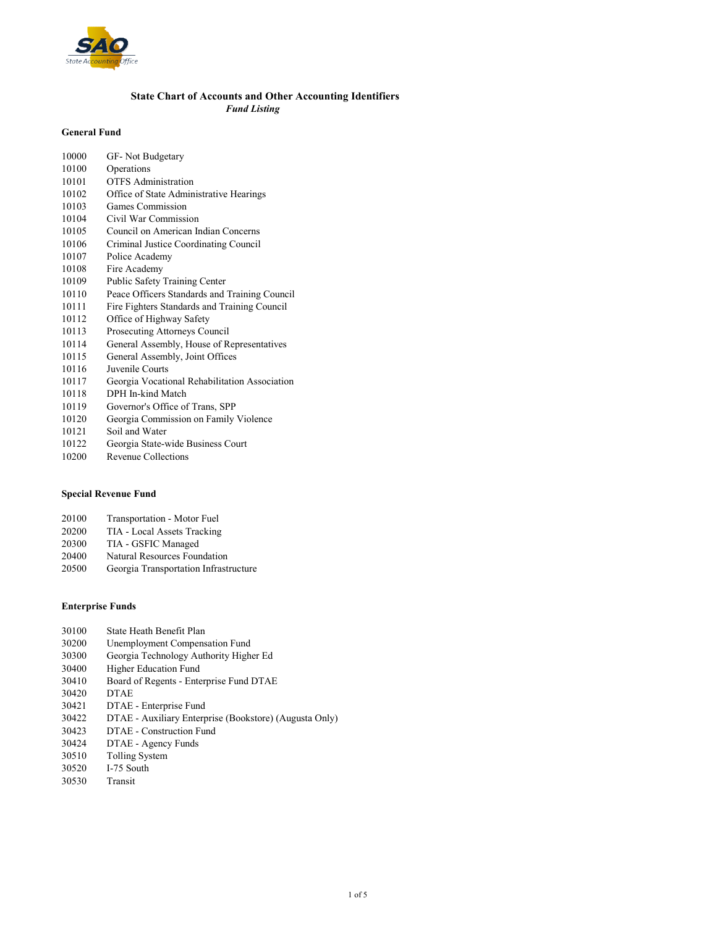

### State Chart of Accounts and Other Accounting Identifiers Fund Listing

### General Fund

| 10000 | GF- Not Budgetary                             |
|-------|-----------------------------------------------|
| 10100 | Operations                                    |
| 10101 | <b>OTFS</b> Administration                    |
| 10102 | Office of State Administrative Hearings       |
| 10103 | Games Commission                              |
| 10104 | Civil War Commission                          |
| 10105 | Council on American Indian Concerns           |
| 10106 | Criminal Justice Coordinating Council         |
| 10107 | Police Academy                                |
| 10108 | Fire Academy                                  |
| 10109 | Public Safety Training Center                 |
| 10110 | Peace Officers Standards and Training Council |
| 10111 | Fire Fighters Standards and Training Council  |
| 10112 | Office of Highway Safety                      |
| 10113 | Prosecuting Attorneys Council                 |
| 10114 | General Assembly, House of Representatives    |
| 10115 | General Assembly, Joint Offices               |
| 10116 | Juvenile Courts                               |
| 10117 | Georgia Vocational Rehabilitation Association |
| 10118 | DPH In-kind Match                             |
| 10119 | Governor's Office of Trans, SPP               |
| 10120 | Georgia Commission on Family Violence         |
| 10121 | Soil and Water                                |
| 10122 | Georgia State-wide Business Court             |

### Special Revenue Fund

10200 Revenue Collections

| 20100 | Transportation - Motor Fuel |
|-------|-----------------------------|
| 20200 | TIA - Local Assets Tracking |
| 20300 | TIA - GSFIC Managed         |
| ----- |                             |

20400 Natural Resources Foundation 20500 Georgia Transportation Infrastructure

### Enterprise Funds

| 30100 | State Heath Benefit Plan                               |
|-------|--------------------------------------------------------|
| 30200 | Unemployment Compensation Fund                         |
| 30300 | Georgia Technology Authority Higher Ed                 |
| 30400 | Higher Education Fund                                  |
| 30410 | Board of Regents - Enterprise Fund DTAE                |
| 30420 | <b>DTAE</b>                                            |
| 30421 | DTAE - Enterprise Fund                                 |
| 30422 | DTAE - Auxiliary Enterprise (Bookstore) (Augusta Only) |
| 30423 | DTAE - Construction Fund                               |
| 30424 | DTAE - Agency Funds                                    |
| 30510 | <b>Tolling System</b>                                  |
| 30520 | I-75 South                                             |
| 30530 | Transit                                                |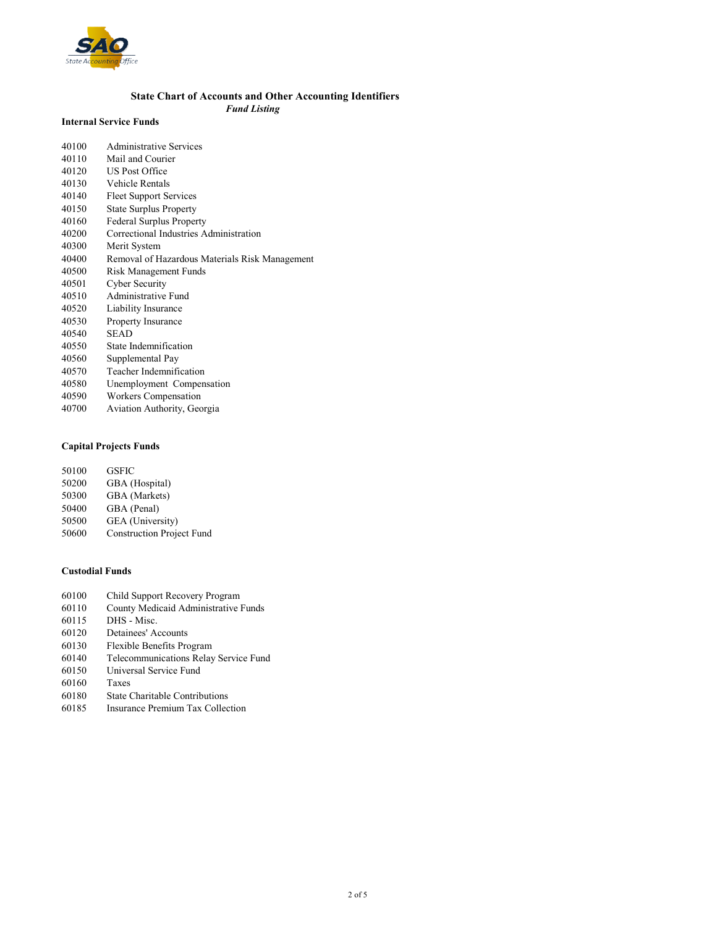

### State Chart of Accounts and Other Accounting Identifiers Fund Listing

#### Internal Service Funds

| 40100 | Administrative Services                        |
|-------|------------------------------------------------|
| 40110 | Mail and Courier                               |
| 40120 | <b>US Post Office</b>                          |
| 40130 | Vehicle Rentals                                |
| 40140 | <b>Fleet Support Services</b>                  |
| 40150 | <b>State Surplus Property</b>                  |
| 40160 | <b>Federal Surplus Property</b>                |
| 40200 | Correctional Industries Administration         |
| 40300 | Merit System                                   |
| 40400 | Removal of Hazardous Materials Risk Management |
| 40500 | Risk Management Funds                          |
| 40501 | Cyber Security                                 |
| 40510 | Administrative Fund                            |
| 40520 | Liability Insurance                            |
| 40530 | <b>Property Insurance</b>                      |
| 40540 | <b>SEAD</b>                                    |
| 40550 | State Indemnification                          |
| 40560 | Supplemental Pay                               |
| 40570 | Teacher Indemnification                        |
| 40580 | Unemployment Compensation                      |
| 40590 | Workers Compensation                           |
| 40700 | Aviation Authority, Georgia                    |

# Capital Projects Funds

| <b>GSFIC</b>                     |
|----------------------------------|
| GBA (Hospital)                   |
| GBA (Markets)                    |
| GBA (Penal)                      |
| GEA (University)                 |
| <b>Construction Project Fund</b> |
|                                  |

### Custodial Funds

| 60100 | Child Support Recovery Program        |
|-------|---------------------------------------|
| 60110 | County Medicaid Administrative Funds  |
| 60115 | DHS - Misc.                           |
| 60120 | Detainees' Accounts                   |
| 60130 | Flexible Benefits Program             |
| 60140 | Telecommunications Relay Service Fund |
| 60150 | Universal Service Fund                |
| 60160 | Taxes                                 |
| 60180 | <b>State Charitable Contributions</b> |
| 60185 | Insurance Premium Tax Collection      |
|       |                                       |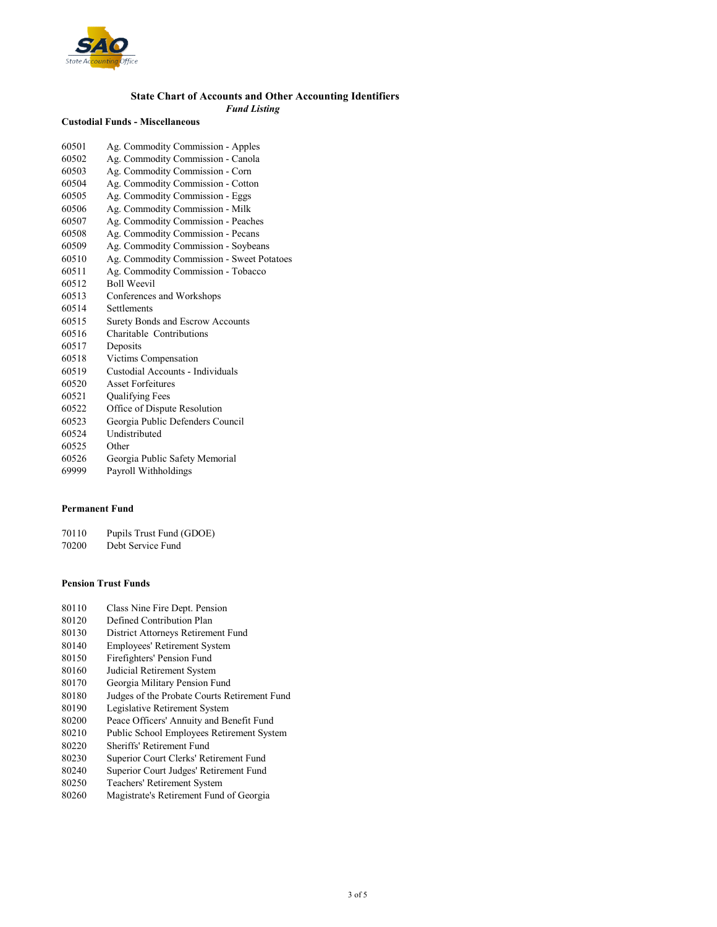

# State Chart of Accounts and Other Accounting Identifiers

Fund Listing

### Custodial Funds - Miscellaneous

| 60501 | Ag. Commodity Commission - Apples         |
|-------|-------------------------------------------|
| 60502 | Ag. Commodity Commission - Canola         |
| 60503 | Ag. Commodity Commission - Corn           |
| 60504 | Ag. Commodity Commission - Cotton         |
| 60505 | Ag. Commodity Commission - Eggs           |
| 60506 | Ag. Commodity Commission - Milk           |
| 60507 | Ag. Commodity Commission - Peaches        |
| 60508 | Ag. Commodity Commission - Pecans         |
| 60509 | Ag. Commodity Commission - Soybeans       |
| 60510 | Ag. Commodity Commission - Sweet Potatoes |
| 60511 | Ag. Commodity Commission - Tobacco        |
| 60512 | <b>Boll Weevil</b>                        |
| 60513 | Conferences and Workshops                 |
| 60514 | <b>Settlements</b>                        |
| 60515 | <b>Surety Bonds and Escrow Accounts</b>   |
| 60516 | Charitable Contributions                  |
| 60517 | Deposits                                  |
| 60518 | Victims Compensation                      |
| 60519 | Custodial Accounts - Individuals          |
| 60520 | <b>Asset Forfeitures</b>                  |
| 60521 | Qualifying Fees                           |
| 60522 | Office of Dispute Resolution              |
| 60523 | Georgia Public Defenders Council          |
| 60524 | Undistributed                             |
| 60525 | Other                                     |
| 60526 | Georgia Public Safety Memorial            |
|       |                                           |

69999 Payroll Withholdings

#### Permanent Fund

70110 Pupils Trust Fund (GDOE)

70200 Debt Service Fund

#### Pension Trust Funds

- 80110 Class Nine Fire Dept. Pension
- 80120 Defined Contribution Plan
- 80130 District Attorneys Retirement Fund<br>80140 Employees' Retirement System
- Employees' Retirement System
- 80150 Firefighters' Pension Fund
- 80160 Judicial Retirement System
- 80170 Georgia Military Pension Fund<br>80180 Judges of the Probate Courts Re
- 80180 Judges of the Probate Courts Retirement Fund<br>80190 Legislative Retirement System
- 80190 Legislative Retirement System<br>80200 Peace Officers' Annuity and Be
- 80200 Peace Officers' Annuity and Benefit Fund<br>80210 Public School Employees Retirement System
- Public School Employees Retirement System
- 80220 Sheriffs' Retirement Fund<br>80230 Superior Court Clerks' Re
- Superior Court Clerks' Retirement Fund
- 80240 Superior Court Judges' Retirement Fund<br>80250 Teachers' Retirement System
- 80250 Teachers' Retirement System<br>80260 Magistrate's Retirement Fund
- 80260 Magistrate's Retirement Fund of Georgia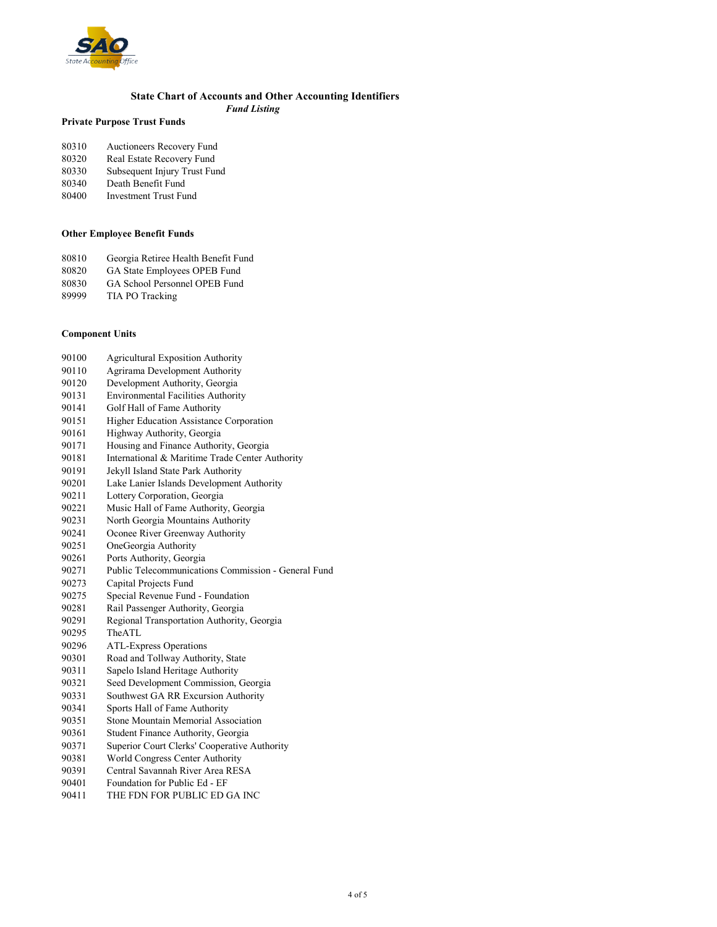

# State Chart of Accounts and Other Accounting Identifiers

Fund Listing

# Private Purpose Trust Funds

| 80310 | Auctioneers Recovery Fund |
|-------|---------------------------|
| 80320 | Real Estate Recovery Fund |

- 80330 Subsequent Injury Trust Fund<br>80340 Death Benefit Fund
- 80340 Death Benefit Fund<br>80400 Investment Trust Fu
- Investment Trust Fund

### Other Employee Benefit Funds

- 80810 Georgia Retiree Health Benefit Fund
- 80820 GA State Employees OPEB Fund<br>80830 GA School Personnel OPEB Fund
- 80830 GA School Personnel OPEB Fund<br>89999 TIA PO Tracking
- TIA PO Tracking

### Component Units

| 90100 | <b>Agricultural Exposition Authority</b>            |
|-------|-----------------------------------------------------|
| 90110 | Agrirama Development Authority                      |
| 90120 | Development Authority, Georgia                      |
| 90131 | <b>Environmental Facilities Authority</b>           |
| 90141 | Golf Hall of Fame Authority                         |
| 90151 | Higher Education Assistance Corporation             |
| 90161 | Highway Authority, Georgia                          |
| 90171 | Housing and Finance Authority, Georgia              |
| 90181 | International & Maritime Trade Center Authority     |
| 90191 | Jekyll Island State Park Authority                  |
| 90201 | Lake Lanier Islands Development Authority           |
| 90211 | Lottery Corporation, Georgia                        |
| 90221 | Music Hall of Fame Authority, Georgia               |
| 90231 | North Georgia Mountains Authority                   |
| 90241 | Oconee River Greenway Authority                     |
| 90251 | OneGeorgia Authority                                |
| 90261 | Ports Authority, Georgia                            |
| 90271 | Public Telecommunications Commission - General Fund |
| 90273 | Capital Projects Fund                               |
| 90275 | Special Revenue Fund - Foundation                   |
| 90281 | Rail Passenger Authority, Georgia                   |
| 90291 | Regional Transportation Authority, Georgia          |
| 90295 | The ATI.                                            |
| 90296 | <b>ATL-Express Operations</b>                       |
| 90301 | Road and Tollway Authority, State                   |
| 90311 | Sapelo Island Heritage Authority                    |
| 90321 | Seed Development Commission, Georgia                |
| 90331 | Southwest GA RR Excursion Authority                 |
| 90341 | Sports Hall of Fame Authority                       |
| 90351 | Stone Mountain Memorial Association                 |
| 90361 | Student Finance Authority, Georgia                  |
| 90371 | Superior Court Clerks' Cooperative Authority        |
| 90381 | World Congress Center Authority                     |
| 90391 | Central Savannah River Area RESA                    |
|       |                                                     |

- 90401 Foundation for Public Ed EF<br>90411 THE FDN FOR PUBLIC ED O
- THE FDN FOR PUBLIC ED GA INC